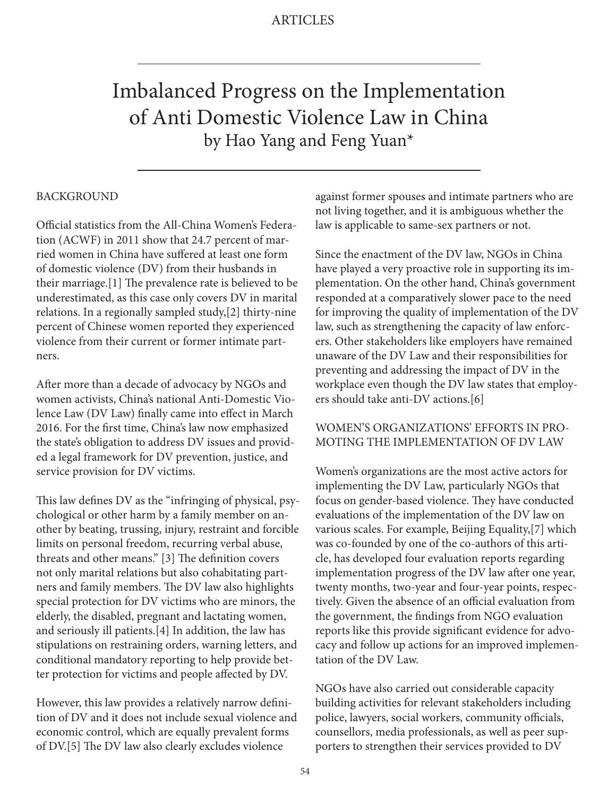# Imbalanced Progress on the Implementation of Anti Domestic Violence Law in China by Hao Yang and Feng Yuan\*

#### BACKGROUND

Official statistics from the All-China Women's Federation (ACWF) in 2011 show that 24.7 percent of married women in China have suffered at least one form of domestic violence (DV) from their husbands in their marriage.[1] The prevalence rate is believed to be underestimated, as this case only covers DV in marital relations. In a regionally sampled study,[2] thirty-nine percent of Chinese women reported they experienced violence from their current or former intimate partners.

After more than a decade of advocacy by NGOs and women activists, China's national Anti-Domestic Violence Law (DV Law) finally came into effect in March 2016. For the first time, China's law now emphasized the state's obligation to address DV issues and provided a legal framework for DV prevention, justice, and service provision for DV victims.

This law defines DV as the "infringing of physical, psychological or other harm by a family member on another by beating, trussing, injury, restraint and forcible limits on personal freedom, recurring verbal abuse, threats and other means." [3] The definition covers not only marital relations but also cohabitating partners and family members. The DV law also highlights special protection for DV victims who are minors, the elderly, the disabled, pregnant and lactating women, and seriously ill patients.[4] In addition, the law has stipulations on restraining orders, warning letters, and conditional mandatory reporting to help provide better protection for victims and people affected by DV.

However, this law provides a relatively narrow definition of DV and it does not include sexual violence and economic control, which are equally prevalent forms of DV.[5] The DV law also clearly excludes violence

against former spouses and intimate partners who are not living together, and it is ambiguous whether the law is applicable to same-sex partners or not.

Since the enactment of the DV law, NGOs in China have played a very proactive role in supporting its implementation. On the other hand, China's government responded at a comparatively slower pace to the need for improving the quality of implementation of the DV law, such as strengthening the capacity of law enforcers. Other stakeholders like employers have remained unaware of the DV Law and their responsibilities for preventing and addressing the impact of DV in the workplace even though the DV law states that employers should take anti-DV actions.[6]

#### WOMEN'S ORGANIZATIONS' EFFORTS IN PRO-MOTING THE IMPLEMENTATION OF DV LAW

Women's organizations are the most active actors for implementing the DV Law, particularly NGOs that focus on gender-based violence. They have conducted evaluations of the implementation of the DV law on various scales. For example, Beijing Equality,[7] which was co-founded by one of the co-authors of this article, has developed four evaluation reports regarding implementation progress of the DV law after one year, twenty months, two-year and four-year points, respectively. Given the absence of an official evaluation from the government, the findings from NGO evaluation reports like this provide significant evidence for advocacy and follow up actions for an improved implementation of the DV Law.

NGOs have also carried out considerable capacity building activities for relevant stakeholders including police, lawyers, social workers, community officials, counsellors, media professionals, as well as peer supporters to strengthen their services provided to DV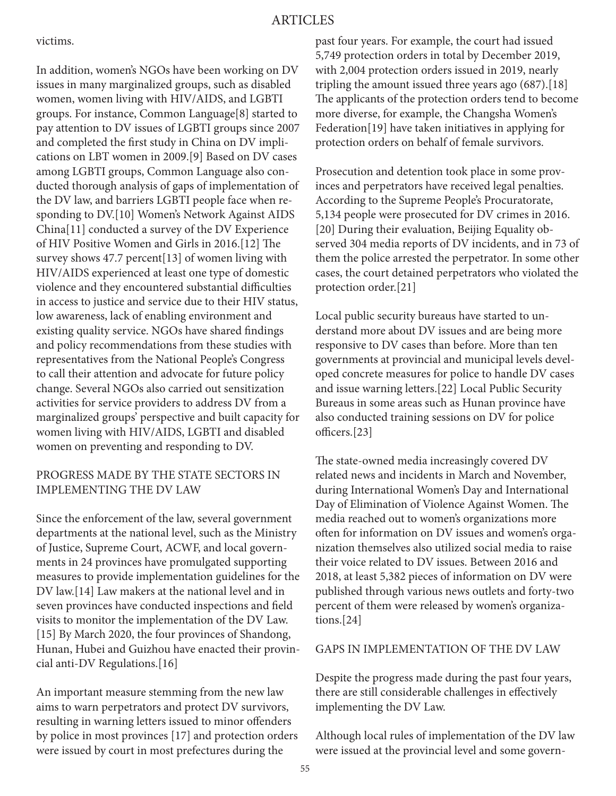#### ARTICLES

victims.

In addition, women's NGOs have been working on DV issues in many marginalized groups, such as disabled women, women living with HIV/AIDS, and LGBTI groups. For instance, Common Language[8] started to pay attention to DV issues of LGBTI groups since 2007 and completed the first study in China on DV implications on LBT women in 2009.[9] Based on DV cases among LGBTI groups, Common Language also conducted thorough analysis of gaps of implementation of the DV law, and barriers LGBTI people face when responding to DV.[10] Women's Network Against AIDS China[11] conducted a survey of the DV Experience of HIV Positive Women and Girls in 2016.[12] The survey shows 47.7 percent[13] of women living with HIV/AIDS experienced at least one type of domestic violence and they encountered substantial difficulties in access to justice and service due to their HIV status, low awareness, lack of enabling environment and existing quality service. NGOs have shared findings and policy recommendations from these studies with representatives from the National People's Congress to call their attention and advocate for future policy change. Several NGOs also carried out sensitization activities for service providers to address DV from a marginalized groups' perspective and built capacity for women living with HIV/AIDS, LGBTI and disabled women on preventing and responding to DV.

#### PROGRESS MADE BY THE STATE SECTORS IN IMPLEMENTING THE DV LAW

Since the enforcement of the law, several government departments at the national level, such as the Ministry of Justice, Supreme Court, ACWF, and local governments in 24 provinces have promulgated supporting measures to provide implementation guidelines for the DV law.[14] Law makers at the national level and in seven provinces have conducted inspections and field visits to monitor the implementation of the DV Law. [15] By March 2020, the four provinces of Shandong, Hunan, Hubei and Guizhou have enacted their provincial anti-DV Regulations.[16]

An important measure stemming from the new law aims to warn perpetrators and protect DV survivors, resulting in warning letters issued to minor offenders by police in most provinces [17] and protection orders were issued by court in most prefectures during the

past four years. For example, the court had issued 5,749 protection orders in total by December 2019, with 2,004 protection orders issued in 2019, nearly tripling the amount issued three years ago (687).[18] The applicants of the protection orders tend to become more diverse, for example, the Changsha Women's Federation[19] have taken initiatives in applying for protection orders on behalf of female survivors.

Prosecution and detention took place in some provinces and perpetrators have received legal penalties. According to the Supreme People's Procuratorate, 5,134 people were prosecuted for DV crimes in 2016. [20] During their evaluation, Beijing Equality observed 304 media reports of DV incidents, and in 73 of them the police arrested the perpetrator. In some other cases, the court detained perpetrators who violated the protection order.[21]

Local public security bureaus have started to understand more about DV issues and are being more responsive to DV cases than before. More than ten governments at provincial and municipal levels developed concrete measures for police to handle DV cases and issue warning letters.[22] Local Public Security Bureaus in some areas such as Hunan province have also conducted training sessions on DV for police officers.[23]

The state-owned media increasingly covered DV related news and incidents in March and November, during International Women's Day and International Day of Elimination of Violence Against Women. The media reached out to women's organizations more often for information on DV issues and women's organization themselves also utilized social media to raise their voice related to DV issues. Between 2016 and 2018, at least 5,382 pieces of information on DV were published through various news outlets and forty-two percent of them were released by women's organizations.[24]

#### GAPS IN IMPLEMENTATION OF THE DV LAW

Despite the progress made during the past four years, there are still considerable challenges in effectively implementing the DV Law.

Although local rules of implementation of the DV law were issued at the provincial level and some govern-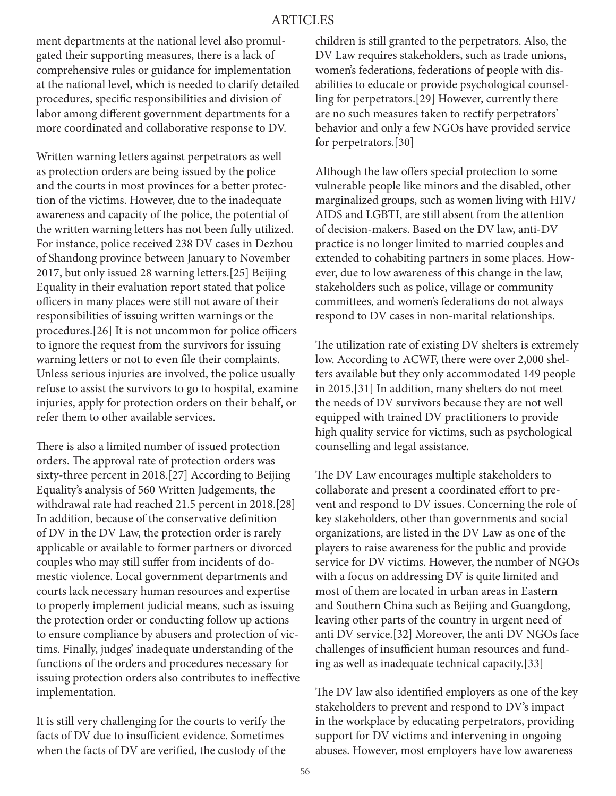## ARTICLES

ment departments at the national level also promulgated their supporting measures, there is a lack of comprehensive rules or guidance for implementation at the national level, which is needed to clarify detailed procedures, specific responsibilities and division of labor among different government departments for a more coordinated and collaborative response to DV.

Written warning letters against perpetrators as well as protection orders are being issued by the police and the courts in most provinces for a better protection of the victims. However, due to the inadequate awareness and capacity of the police, the potential of the written warning letters has not been fully utilized. For instance, police received 238 DV cases in Dezhou of Shandong province between January to November 2017, but only issued 28 warning letters.[25] Beijing Equality in their evaluation report stated that police officers in many places were still not aware of their responsibilities of issuing written warnings or the procedures.[26] It is not uncommon for police officers to ignore the request from the survivors for issuing warning letters or not to even file their complaints. Unless serious injuries are involved, the police usually refuse to assist the survivors to go to hospital, examine injuries, apply for protection orders on their behalf, or refer them to other available services.

There is also a limited number of issued protection orders. The approval rate of protection orders was sixty-three percent in 2018.[27] According to Beijing Equality's analysis of 560 Written Judgements, the withdrawal rate had reached 21.5 percent in 2018.[28] In addition, because of the conservative definition of DV in the DV Law, the protection order is rarely applicable or available to former partners or divorced couples who may still suffer from incidents of domestic violence. Local government departments and courts lack necessary human resources and expertise to properly implement judicial means, such as issuing the protection order or conducting follow up actions to ensure compliance by abusers and protection of victims. Finally, judges' inadequate understanding of the functions of the orders and procedures necessary for issuing protection orders also contributes to ineffective implementation.

It is still very challenging for the courts to verify the facts of DV due to insufficient evidence. Sometimes when the facts of DV are verified, the custody of the children is still granted to the perpetrators. Also, the DV Law requires stakeholders, such as trade unions, women's federations, federations of people with disabilities to educate or provide psychological counselling for perpetrators.[29] However, currently there are no such measures taken to rectify perpetrators' behavior and only a few NGOs have provided service for perpetrators.[30]

Although the law offers special protection to some vulnerable people like minors and the disabled, other marginalized groups, such as women living with HIV/ AIDS and LGBTI, are still absent from the attention of decision-makers. Based on the DV law, anti-DV practice is no longer limited to married couples and extended to cohabiting partners in some places. However, due to low awareness of this change in the law, stakeholders such as police, village or community committees, and women's federations do not always respond to DV cases in non-marital relationships.

The utilization rate of existing DV shelters is extremely low. According to ACWF, there were over 2,000 shelters available but they only accommodated 149 people in 2015.[31] In addition, many shelters do not meet the needs of DV survivors because they are not well equipped with trained DV practitioners to provide high quality service for victims, such as psychological counselling and legal assistance.

The DV Law encourages multiple stakeholders to collaborate and present a coordinated effort to prevent and respond to DV issues. Concerning the role of key stakeholders, other than governments and social organizations, are listed in the DV Law as one of the players to raise awareness for the public and provide service for DV victims. However, the number of NGOs with a focus on addressing DV is quite limited and most of them are located in urban areas in Eastern and Southern China such as Beijing and Guangdong, leaving other parts of the country in urgent need of anti DV service.[32] Moreover, the anti DV NGOs face challenges of insufficient human resources and funding as well as inadequate technical capacity.[33]

The DV law also identified employers as one of the key stakeholders to prevent and respond to DV's impact in the workplace by educating perpetrators, providing support for DV victims and intervening in ongoing abuses. However, most employers have low awareness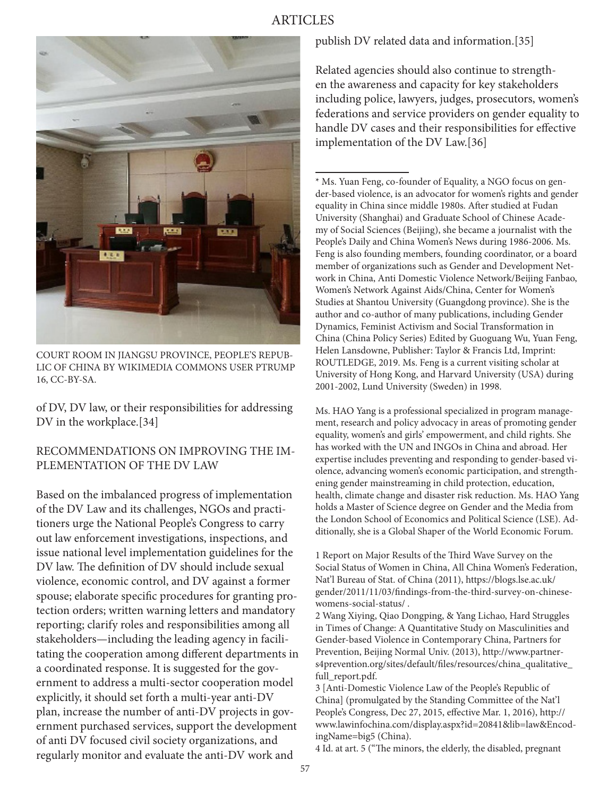# ARTICLES



COURT ROOM IN JIANGSU PROVINCE, PEOPLE'S REPUB-LIC OF CHINA BY WIKIMEDIA COMMONS USER PTRUMP 16, CC-BY-SA.

of DV, DV law, or their responsibilities for addressing DV in the workplace.[34]

## RECOMMENDATIONS ON IMPROVING THE IM-PLEMENTATION OF THE DV LAW

Based on the imbalanced progress of implementation of the DV Law and its challenges, NGOs and practitioners urge the National People's Congress to carry out law enforcement investigations, inspections, and issue national level implementation guidelines for the DV law. The definition of DV should include sexual violence, economic control, and DV against a former spouse; elaborate specific procedures for granting protection orders; written warning letters and mandatory reporting; clarify roles and responsibilities among all stakeholders—including the leading agency in facilitating the cooperation among different departments in a coordinated response. It is suggested for the government to address a multi-sector cooperation model explicitly, it should set forth a multi-year anti-DV plan, increase the number of anti-DV projects in government purchased services, support the development of anti DV focused civil society organizations, and regularly monitor and evaluate the anti-DV work and

publish DV related data and information.[35]

Related agencies should also continue to strengthen the awareness and capacity for key stakeholders including police, lawyers, judges, prosecutors, women's federations and service providers on gender equality to handle DV cases and their responsibilities for effective implementation of the DV Law.[36]

\* Ms. Yuan Feng, co-founder of Equality, a NGO focus on gender-based violence, is an advocator for women's rights and gender equality in China since middle 1980s. After studied at Fudan University (Shanghai) and Graduate School of Chinese Academy of Social Sciences (Beijing), she became a journalist with the People's Daily and China Women's News during 1986-2006. Ms. Feng is also founding members, founding coordinator, or a board member of organizations such as Gender and Development Network in China, Anti Domestic Violence Network/Beijing Fanbao, Women's Network Against Aids/China, Center for Women's Studies at Shantou University (Guangdong province). She is the author and co-author of many publications, including Gender Dynamics, Feminist Activism and Social Transformation in China (China Policy Series) Edited by Guoguang Wu, Yuan Feng, Helen Lansdowne, Publisher: Taylor & Francis Ltd, Imprint: ROUTLEDGE, 2019. Ms. Feng is a current visiting scholar at University of Hong Kong, and Harvard University (USA) during 2001-2002, Lund University (Sweden) in 1998.

Ms. HAO Yang is a professional specialized in program management, research and policy advocacy in areas of promoting gender equality, women's and girls' empowerment, and child rights. She has worked with the UN and INGOs in China and abroad. Her expertise includes preventing and responding to gender-based violence, advancing women's economic participation, and strengthening gender mainstreaming in child protection, education, health, climate change and disaster risk reduction. Ms. HAO Yang holds a Master of Science degree on Gender and the Media from the London School of Economics and Political Science (LSE). Additionally, she is a Global Shaper of the World Economic Forum.

1 Report on Major Results of the Third Wave Survey on the Social Status of Women in China, All China Women's Federation, Nat'l Bureau of Stat. of China (2011), https://blogs.lse.ac.uk/ gender/2011/11/03/findings-from-the-third-survey-on-chinesewomens-social-status/ .

2 Wang Xiying, Qiao Dongping, & Yang Lichao, Hard Struggles in Times of Change: A Quantitative Study on Masculinities and Gender-based Violence in Contemporary China, Partners for Prevention, Beijing Normal Univ. (2013), http://www.partners4prevention.org/sites/default/files/resources/china\_qualitative\_ full report.pdf.

3 [Anti-Domestic Violence Law of the People's Republic of China] (promulgated by the Standing Committee of the Nat'l People's Congress, Dec 27, 2015, effective Mar. 1, 2016), http:// www.lawinfochina.com/display.aspx?id=20841&lib=law&EncodingName=big5 (China).

4 Id. at art. 5 ("The minors, the elderly, the disabled, pregnant